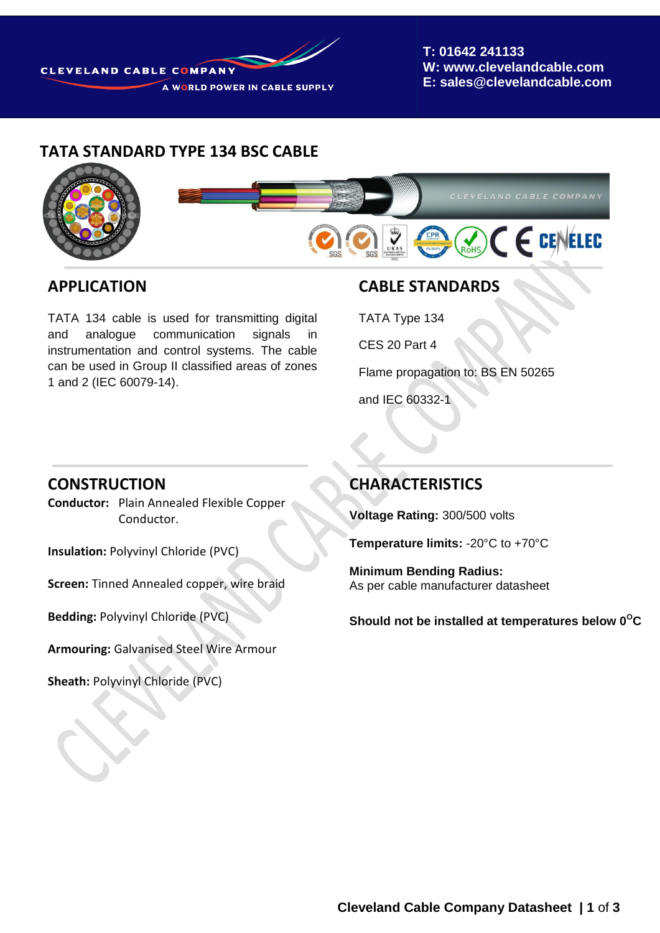

**T: 01642 241133 W: www.clevelandcable.com E: sales@clevelandcable.com**

### **TATA STANDARD TYPE 134 BSC CABLE**



#### **APPLICATION**

TATA 134 cable is used for transmitting digital and analogue communication signals in instrumentation and control systems. The cable can be used in Group II classified areas of zones 1 and 2 (IEC 60079-14).

### **CABLE STANDARDS**

TATA Type 134

CES 20 Part 4

Flame propagation to: BS EN 50265

and IEC 60332-1

#### **CONSTRUCTION**

**Conductor:** Plain Annealed Flexible Copper Conductor.

**Insulation:** Polyvinyl Chloride (PVC)

**Screen:** Tinned Annealed copper, wire braid

**Bedding:** Polyvinyl Chloride (PVC)

**Armouring:** Galvanised Steel Wire Armour

**Sheath:** Polyvinyl Chloride (PVC)

**Sheath Colour:** Grey

## **CHARACTERISTICS**

**Voltage Rating:** 300/500 volts

**Temperature limits:** -20°C to +70°C

**Minimum Bending Radius:** As per cable manufacturer datasheet

**Should not be installed at temperatures below 0<sup>O</sup>C**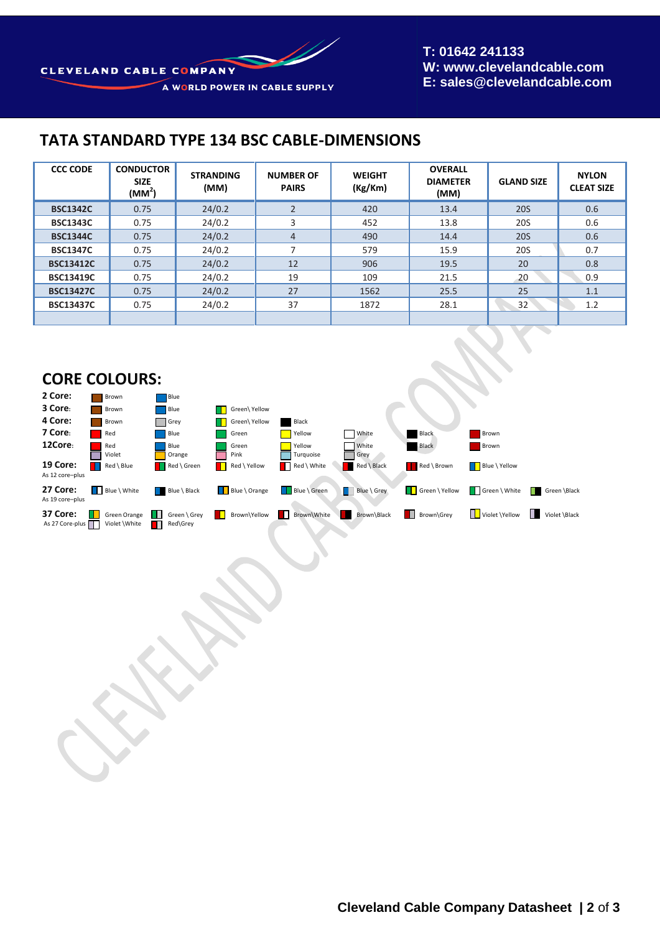# **TATA STANDARD TYPE 134 BSC CABLE-DIMENSIONS**

| <b>CCC CODE</b>  | <b>CONDUCTOR</b><br><b>SIZE</b><br>$(MM^2)$ | <b>STRANDING</b><br>(MM) | <b>NUMBER OF</b><br><b>PAIRS</b> | <b>WEIGHT</b><br>(Kg/Km) | <b>OVERALL</b><br><b>DIAMETER</b><br>(MM) | <b>GLAND SIZE</b> | <b>NYLON</b><br><b>CLEAT SIZE</b> |
|------------------|---------------------------------------------|--------------------------|----------------------------------|--------------------------|-------------------------------------------|-------------------|-----------------------------------|
| <b>BSC1342C</b>  | 0.75                                        | 24/0.2                   | $\overline{2}$                   | 420                      | 13.4                                      | <b>20S</b>        | 0.6                               |
| <b>BSC1343C</b>  | 0.75                                        | 24/0.2                   | 3                                | 452                      | 13.8                                      | 20S               | 0.6                               |
| <b>BSC1344C</b>  | 0.75                                        | 24/0.2                   | $\overline{4}$                   | 490                      | 14.4                                      | <b>20S</b>        | 0.6                               |
| <b>BSC1347C</b>  | 0.75                                        | 24/0.2                   | $\overline{\phantom{a}}$         | 579                      | 15.9                                      | 20S               | 0.7                               |
| <b>BSC13412C</b> | 0.75                                        | 24/0.2                   | 12                               | 906                      | 19.5                                      | 20                | 0.8                               |
| <b>BSC13419C</b> | 0.75                                        | 24/0.2                   | 19                               | 109                      | 21.5                                      | 20                | 0.9                               |
| <b>BSC13427C</b> | 0.75                                        | 24/0.2                   | 27                               | 1562                     | 25.5                                      | 25                | 1.1                               |
| <b>BSC13437C</b> | 0.75                                        | 24/0.2                   | 37                               | 1872                     | 28.1                                      | 32                | 1.2                               |
|                  |                                             |                          |                                  |                          |                                           |                   |                                   |